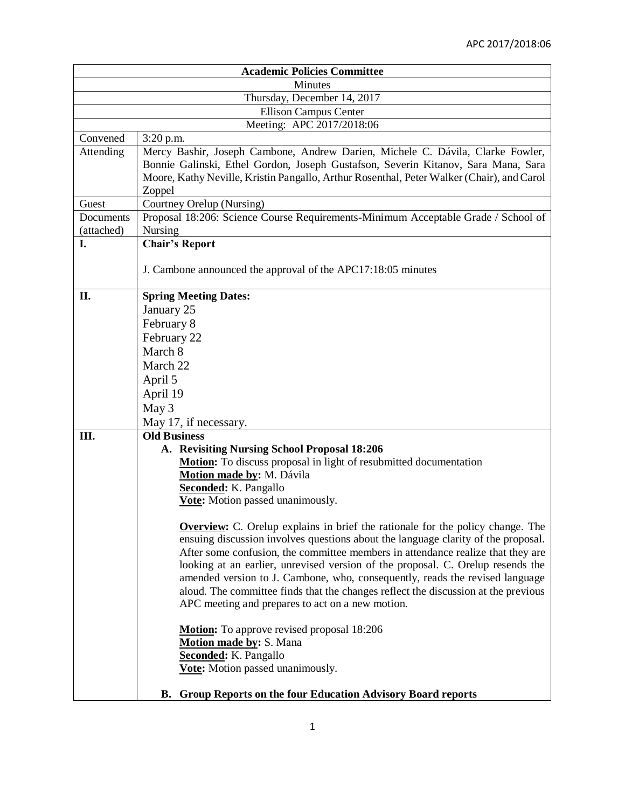|                              | <b>Academic Policies Committee</b>                                                                                                                                                                                                                                                                                                                                                                                                                                                                                                                                         |  |  |
|------------------------------|----------------------------------------------------------------------------------------------------------------------------------------------------------------------------------------------------------------------------------------------------------------------------------------------------------------------------------------------------------------------------------------------------------------------------------------------------------------------------------------------------------------------------------------------------------------------------|--|--|
| <b>Minutes</b>               |                                                                                                                                                                                                                                                                                                                                                                                                                                                                                                                                                                            |  |  |
| Thursday, December 14, 2017  |                                                                                                                                                                                                                                                                                                                                                                                                                                                                                                                                                                            |  |  |
| <b>Ellison Campus Center</b> |                                                                                                                                                                                                                                                                                                                                                                                                                                                                                                                                                                            |  |  |
|                              | Meeting: APC 2017/2018:06                                                                                                                                                                                                                                                                                                                                                                                                                                                                                                                                                  |  |  |
| Convened                     | $3:20$ p.m.                                                                                                                                                                                                                                                                                                                                                                                                                                                                                                                                                                |  |  |
| Attending                    | Mercy Bashir, Joseph Cambone, Andrew Darien, Michele C. Dávila, Clarke Fowler,<br>Bonnie Galinski, Ethel Gordon, Joseph Gustafson, Severin Kitanov, Sara Mana, Sara<br>Moore, Kathy Neville, Kristin Pangallo, Arthur Rosenthal, Peter Walker (Chair), and Carol<br>Zoppel                                                                                                                                                                                                                                                                                                 |  |  |
| Guest                        | Courtney Orelup (Nursing)                                                                                                                                                                                                                                                                                                                                                                                                                                                                                                                                                  |  |  |
| Documents                    | Proposal 18:206: Science Course Requirements-Minimum Acceptable Grade / School of                                                                                                                                                                                                                                                                                                                                                                                                                                                                                          |  |  |
| (attached)                   | Nursing                                                                                                                                                                                                                                                                                                                                                                                                                                                                                                                                                                    |  |  |
| I.                           | <b>Chair's Report</b>                                                                                                                                                                                                                                                                                                                                                                                                                                                                                                                                                      |  |  |
|                              | J. Cambone announced the approval of the APC17:18:05 minutes                                                                                                                                                                                                                                                                                                                                                                                                                                                                                                               |  |  |
| II.                          | <b>Spring Meeting Dates:</b>                                                                                                                                                                                                                                                                                                                                                                                                                                                                                                                                               |  |  |
|                              | January 25                                                                                                                                                                                                                                                                                                                                                                                                                                                                                                                                                                 |  |  |
|                              | February 8                                                                                                                                                                                                                                                                                                                                                                                                                                                                                                                                                                 |  |  |
|                              | February 22                                                                                                                                                                                                                                                                                                                                                                                                                                                                                                                                                                |  |  |
|                              | March 8                                                                                                                                                                                                                                                                                                                                                                                                                                                                                                                                                                    |  |  |
|                              | March 22                                                                                                                                                                                                                                                                                                                                                                                                                                                                                                                                                                   |  |  |
|                              | April 5                                                                                                                                                                                                                                                                                                                                                                                                                                                                                                                                                                    |  |  |
|                              | April 19                                                                                                                                                                                                                                                                                                                                                                                                                                                                                                                                                                   |  |  |
|                              | May 3                                                                                                                                                                                                                                                                                                                                                                                                                                                                                                                                                                      |  |  |
|                              | May 17, if necessary.                                                                                                                                                                                                                                                                                                                                                                                                                                                                                                                                                      |  |  |
| Ш.                           | <b>Old Business</b>                                                                                                                                                                                                                                                                                                                                                                                                                                                                                                                                                        |  |  |
|                              | A. Revisiting Nursing School Proposal 18:206                                                                                                                                                                                                                                                                                                                                                                                                                                                                                                                               |  |  |
|                              | Motion: To discuss proposal in light of resubmitted documentation                                                                                                                                                                                                                                                                                                                                                                                                                                                                                                          |  |  |
|                              | Motion made by: M. Dávila                                                                                                                                                                                                                                                                                                                                                                                                                                                                                                                                                  |  |  |
|                              | <b>Seconded:</b> K. Pangallo                                                                                                                                                                                                                                                                                                                                                                                                                                                                                                                                               |  |  |
|                              | Vote: Motion passed unanimously.                                                                                                                                                                                                                                                                                                                                                                                                                                                                                                                                           |  |  |
|                              |                                                                                                                                                                                                                                                                                                                                                                                                                                                                                                                                                                            |  |  |
|                              | <b>Overview:</b> C. Orelup explains in brief the rationale for the policy change. The<br>ensuing discussion involves questions about the language clarity of the proposal.<br>After some confusion, the committee members in attendance realize that they are<br>looking at an earlier, unrevised version of the proposal. C. Orelup resends the<br>amended version to J. Cambone, who, consequently, reads the revised language<br>aloud. The committee finds that the changes reflect the discussion at the previous<br>APC meeting and prepares to act on a new motion. |  |  |
|                              | <b>Motion:</b> To approve revised proposal 18:206<br>Motion made by: S. Mana<br>Seconded: K. Pangallo<br>Vote: Motion passed unanimously.                                                                                                                                                                                                                                                                                                                                                                                                                                  |  |  |
|                              | Group Reports on the four Education Advisory Board reports<br>В.                                                                                                                                                                                                                                                                                                                                                                                                                                                                                                           |  |  |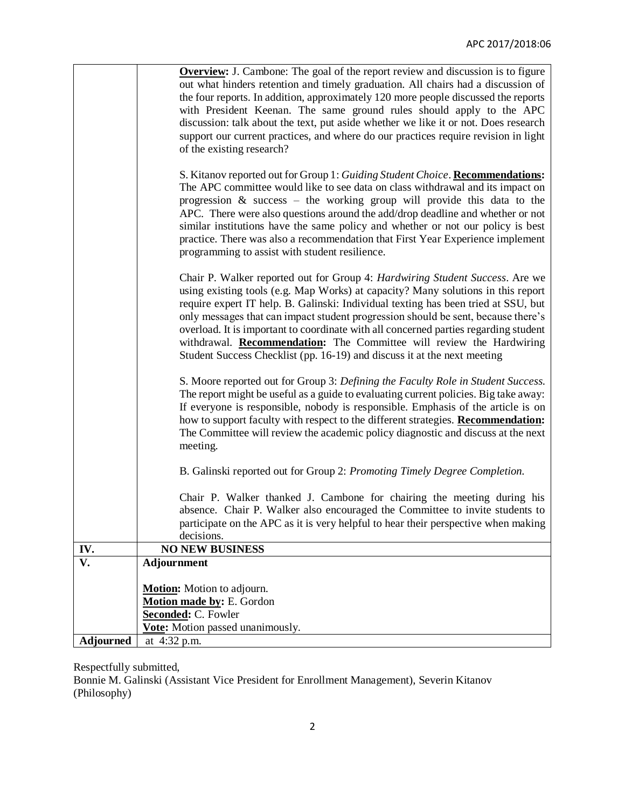|                  | <b>Overview:</b> J. Cambone: The goal of the report review and discussion is to figure<br>out what hinders retention and timely graduation. All chairs had a discussion of<br>the four reports. In addition, approximately 120 more people discussed the reports<br>with President Keenan. The same ground rules should apply to the APC<br>discussion: talk about the text, put aside whether we like it or not. Does research<br>support our current practices, and where do our practices require revision in light<br>of the existing research?                                            |
|------------------|------------------------------------------------------------------------------------------------------------------------------------------------------------------------------------------------------------------------------------------------------------------------------------------------------------------------------------------------------------------------------------------------------------------------------------------------------------------------------------------------------------------------------------------------------------------------------------------------|
|                  | S. Kitanov reported out for Group 1: Guiding Student Choice. Recommendations:<br>The APC committee would like to see data on class withdrawal and its impact on<br>progression $\&$ success – the working group will provide this data to the<br>APC. There were also questions around the add/drop deadline and whether or not<br>similar institutions have the same policy and whether or not our policy is best<br>practice. There was also a recommendation that First Year Experience implement<br>programming to assist with student resilience.                                         |
|                  | Chair P. Walker reported out for Group 4: Hardwiring Student Success. Are we<br>using existing tools (e.g. Map Works) at capacity? Many solutions in this report<br>require expert IT help. B. Galinski: Individual texting has been tried at SSU, but<br>only messages that can impact student progression should be sent, because there's<br>overload. It is important to coordinate with all concerned parties regarding student<br>withdrawal. <b>Recommendation:</b> The Committee will review the Hardwiring<br>Student Success Checklist (pp. 16-19) and discuss it at the next meeting |
|                  | S. Moore reported out for Group 3: Defining the Faculty Role in Student Success.<br>The report might be useful as a guide to evaluating current policies. Big take away:<br>If everyone is responsible, nobody is responsible. Emphasis of the article is on<br>how to support faculty with respect to the different strategies. Recommendation:<br>The Committee will review the academic policy diagnostic and discuss at the next<br>meeting.                                                                                                                                               |
|                  | B. Galinski reported out for Group 2: Promoting Timely Degree Completion.<br>Chair P. Walker thanked J. Cambone for chairing the meeting during his<br>absence. Chair P. Walker also encouraged the Committee to invite students to<br>participate on the APC as it is very helpful to hear their perspective when making<br>decisions.                                                                                                                                                                                                                                                        |
| IV.              | <b>NO NEW BUSINESS</b>                                                                                                                                                                                                                                                                                                                                                                                                                                                                                                                                                                         |
| V.               | <b>Adjournment</b>                                                                                                                                                                                                                                                                                                                                                                                                                                                                                                                                                                             |
|                  | Motion: Motion to adjourn.<br>Motion made by: E. Gordon<br>Seconded: C. Fowler<br>Vote: Motion passed unanimously.                                                                                                                                                                                                                                                                                                                                                                                                                                                                             |
| <b>Adjourned</b> | at 4:32 p.m.                                                                                                                                                                                                                                                                                                                                                                                                                                                                                                                                                                                   |

Respectfully submitted,

Bonnie M. Galinski (Assistant Vice President for Enrollment Management), Severin Kitanov (Philosophy)